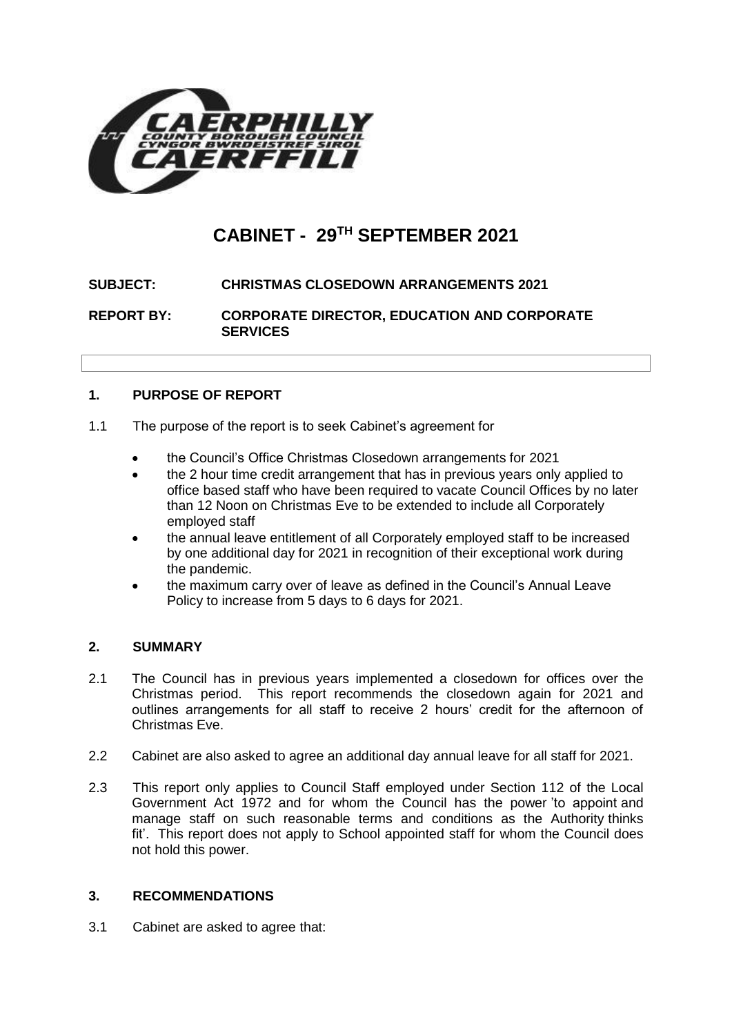

# **CABINET - 29TH SEPTEMBER 2021**

## **SUBJECT: CHRISTMAS CLOSEDOWN ARRANGEMENTS 2021**

**REPORT BY: CORPORATE DIRECTOR, EDUCATION AND CORPORATE SERVICES**

## **1. PURPOSE OF REPORT**

- 1.1 The purpose of the report is to seek Cabinet's agreement for
	- the Council's Office Christmas Closedown arrangements for 2021
	- the 2 hour time credit arrangement that has in previous years only applied to office based staff who have been required to vacate Council Offices by no later than 12 Noon on Christmas Eve to be extended to include all Corporately employed staff
	- the annual leave entitlement of all Corporately employed staff to be increased by one additional day for 2021 in recognition of their exceptional work during the pandemic.
	- the maximum carry over of leave as defined in the Council's Annual Leave Policy to increase from 5 days to 6 days for 2021.

## **2. SUMMARY**

- 2.1 The Council has in previous years implemented a closedown for offices over the Christmas period. This report recommends the closedown again for 2021 and outlines arrangements for all staff to receive 2 hours' credit for the afternoon of Christmas Eve.
- 2.2 Cabinet are also asked to agree an additional day annual leave for all staff for 2021.
- 2.3 This report only applies to Council Staff employed under Section 112 of the Local Government Act 1972 and for whom the Council has the power 'to appoint and manage staff on such reasonable terms and conditions as the Authority thinks fit'. This report does not apply to School appointed staff for whom the Council does not hold this power.

#### **3. RECOMMENDATIONS**

3.1 Cabinet are asked to agree that: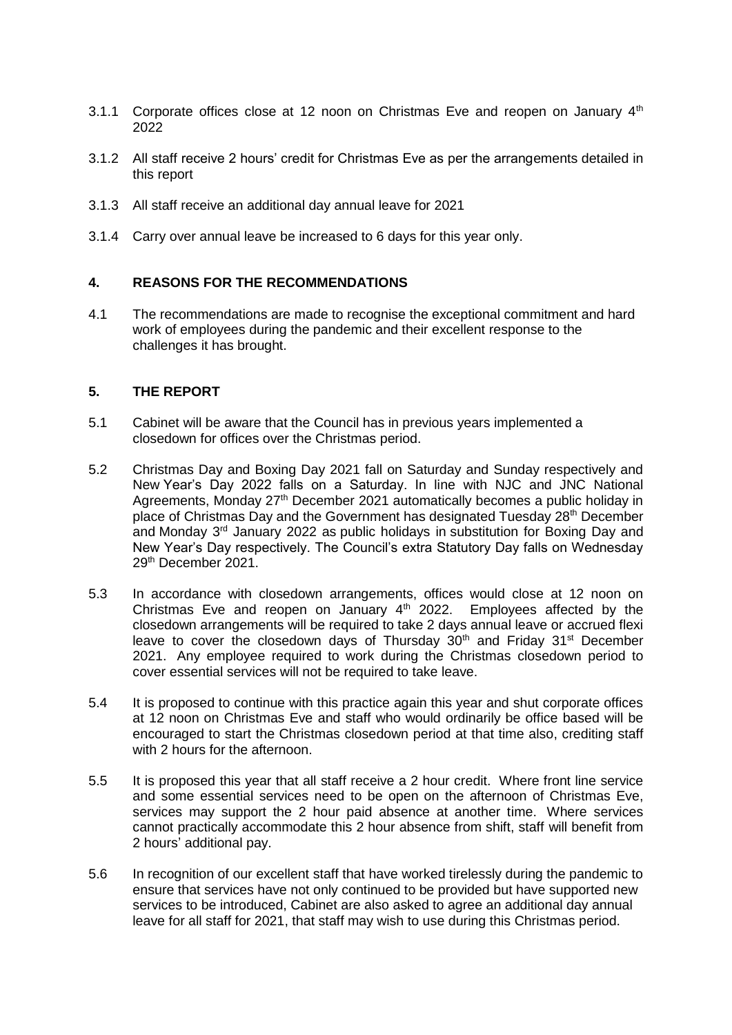- 3.1.1 Corporate offices close at 12 noon on Christmas Eve and reopen on January  $4<sup>th</sup>$ 2022
- 3.1.2 All staff receive 2 hours' credit for Christmas Eve as per the arrangements detailed in this report
- 3.1.3 All staff receive an additional day annual leave for 2021
- 3.1.4 Carry over annual leave be increased to 6 days for this year only.

## **4. REASONS FOR THE RECOMMENDATIONS**

4.1 The recommendations are made to recognise the exceptional commitment and hard work of employees during the pandemic and their excellent response to the challenges it has brought.

#### **5. THE REPORT**

- 5.1 Cabinet will be aware that the Council has in previous years implemented a closedown for offices over the Christmas period.
- 5.2 Christmas Day and Boxing Day 2021 fall on Saturday and Sunday respectively and New Year's Day 2022 falls on a Saturday. In line with NJC and JNC National Agreements, Monday 27<sup>th</sup> December 2021 automatically becomes a public holiday in place of Christmas Day and the Government has designated Tuesday 28<sup>th</sup> December and Monday 3rd January 2022 as public holidays in substitution for Boxing Day and New Year's Day respectively. The Council's extra Statutory Day falls on Wednesday 29th December 2021.
- 5.3 In accordance with closedown arrangements, offices would close at 12 noon on Christmas Eve and reopen on January  $4<sup>th</sup>$  2022. Employees affected by the closedown arrangements will be required to take 2 days annual leave or accrued flexi leave to cover the closedown days of Thursday  $30<sup>th</sup>$  and Friday  $31<sup>st</sup>$  December 2021. Any employee required to work during the Christmas closedown period to cover essential services will not be required to take leave.
- 5.4 It is proposed to continue with this practice again this year and shut corporate offices at 12 noon on Christmas Eve and staff who would ordinarily be office based will be encouraged to start the Christmas closedown period at that time also, crediting staff with 2 hours for the afternoon
- 5.5 It is proposed this year that all staff receive a 2 hour credit. Where front line service and some essential services need to be open on the afternoon of Christmas Eve, services may support the 2 hour paid absence at another time. Where services cannot practically accommodate this 2 hour absence from shift, staff will benefit from 2 hours' additional pay.
- 5.6 In recognition of our excellent staff that have worked tirelessly during the pandemic to ensure that services have not only continued to be provided but have supported new services to be introduced, Cabinet are also asked to agree an additional day annual leave for all staff for 2021, that staff may wish to use during this Christmas period.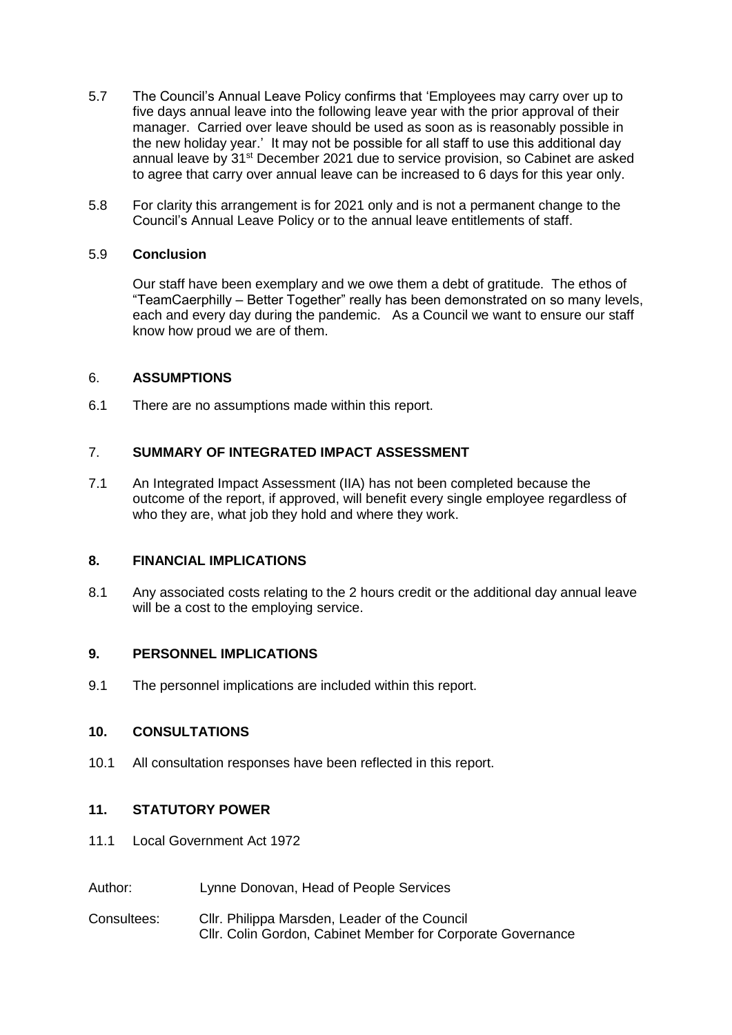- 5.7 The Council's Annual Leave Policy confirms that 'Employees may carry over up to five days annual leave into the following leave year with the prior approval of their manager. Carried over leave should be used as soon as is reasonably possible in the new holiday year.' It may not be possible for all staff to use this additional day annual leave by 31<sup>st</sup> December 2021 due to service provision, so Cabinet are asked to agree that carry over annual leave can be increased to 6 days for this year only.
- 5.8 For clarity this arrangement is for 2021 only and is not a permanent change to the Council's Annual Leave Policy or to the annual leave entitlements of staff.

## 5.9 **Conclusion**

Our staff have been exemplary and we owe them a debt of gratitude. The ethos of "TeamCaerphilly – Better Together" really has been demonstrated on so many levels, each and every day during the pandemic. As a Council we want to ensure our staff know how proud we are of them.

#### 6. **ASSUMPTIONS**

6.1 There are no assumptions made within this report.

## 7. **SUMMARY OF INTEGRATED IMPACT ASSESSMENT**

7.1 An Integrated Impact Assessment (IIA) has not been completed because the outcome of the report, if approved, will benefit every single employee regardless of who they are, what job they hold and where they work.

#### **8. FINANCIAL IMPLICATIONS**

8.1 Any associated costs relating to the 2 hours credit or the additional day annual leave will be a cost to the employing service.

#### **9. PERSONNEL IMPLICATIONS**

9.1 The personnel implications are included within this report.

#### **10. CONSULTATIONS**

10.1 All consultation responses have been reflected in this report.

## **11. STATUTORY POWER**

- 11.1 Local Government Act 1972
- Author: Lynne Donovan, Head of People Services
- Consultees: Cllr. Philippa Marsden, Leader of the Council Cllr. Colin Gordon, Cabinet Member for Corporate Governance